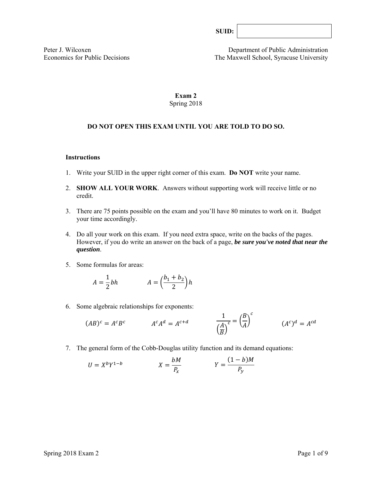Peter J. Wilcoxen<br>
Economics for Public Decisions<br>
The Maxwell School. Syracuse University The Maxwell School, Syracuse University

# **Exam 2**  Spring 2018

# **DO NOT OPEN THIS EXAM UNTIL YOU ARE TOLD TO DO SO.**

#### **Instructions**

- 1. Write your SUID in the upper right corner of this exam. **Do NOT** write your name.
- 2. **SHOW ALL YOUR WORK**. Answers without supporting work will receive little or no credit.
- 3. There are 75 points possible on the exam and you'll have 80 minutes to work on it. Budget your time accordingly.
- 4. Do all your work on this exam. If you need extra space, write on the backs of the pages. However, if you do write an answer on the back of a page, *be sure you've noted that near the question*.
- 5. Some formulas for areas:

$$
A = \frac{1}{2}bh \qquad A = \left(\frac{b_1 + b_2}{2}\right)h
$$

6. Some algebraic relationships for exponents:

$$
(AB)^c = A^c B^c \qquad \qquad A^c A^d = A^{c+d} \qquad \qquad \frac{1}{\left(\frac{A}{B}\right)^c} = \left(\frac{B}{A}\right)^c \qquad \qquad (A^c)^d = A^{cd}
$$

7. The general form of the Cobb-Douglas utility function and its demand equations:

$$
U = X^b Y^{1-b} \qquad \qquad X = \frac{bM}{P_x} \qquad \qquad Y = \frac{(1-b)M}{P_y}
$$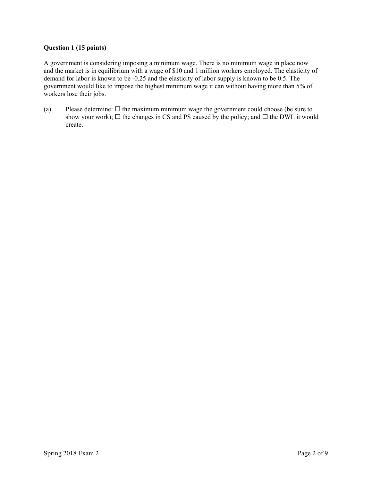## **Question 1 (15 points)**

A government is considering imposing a minimum wage. There is no minimum wage in place now and the market is in equilibrium with a wage of \$10 and 1 million workers employed. The elasticity of demand for labor is known to be -0.25 and the elasticity of labor supply is known to be 0.5. The government would like to impose the highest minimum wage it can without having more than 5% of workers lose their jobs.

(a) Please determine:  $\Box$  the maximum minimum wage the government could choose (be sure to show your work);  $\Box$  the changes in CS and PS caused by the policy; and  $\Box$  the DWL it would create.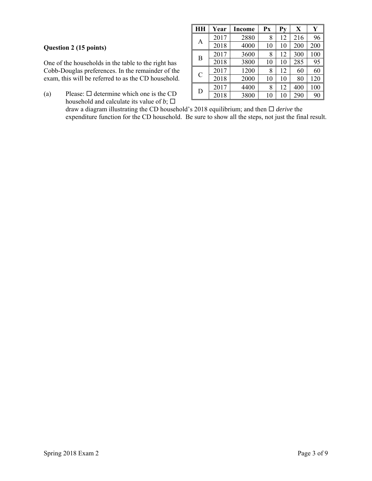# **Question 2 (15 points)**

One of the households in the table to the right has Cobb-Douglas preferences. In the remainder of the exam, this will be referred to as the CD household.

(a) Please:  $\Box$  determine which one is the CD household and calculate its value of  $b$ ;  $\square$ 

| HH            | Year | Income | Px | Py | X   | Ý   |
|---------------|------|--------|----|----|-----|-----|
| A             | 2017 | 2880   | 8  | 12 | 216 | 96  |
|               | 2018 | 4000   | 10 | 10 | 200 | 200 |
| B             | 2017 | 3600   | 8  | 12 | 300 | 100 |
|               | 2018 | 3800   | 10 | 10 | 285 | 95  |
| $\mathcal{C}$ | 2017 | 1200   | 8  | 12 | 60  | 60  |
|               | 2018 | 2000   | 10 | 10 | 80  | 120 |
| D             | 2017 | 4400   | 8  | 12 | 400 | 100 |
|               | 2018 | 3800   | 10 | 10 | 290 | 90  |

draw a diagram illustrating the CD household's 2018 equilibrium; and then  $\Box$  *derive* the expenditure function for the CD household. Be sure to show all the steps, not just the final result.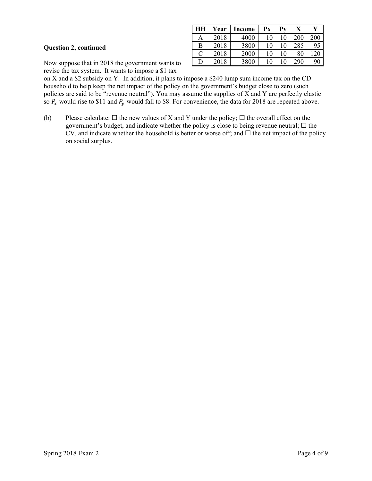### **Question 2, continued**

|   | Year | <b>Income</b> | Рx | Pv | X   |     |
|---|------|---------------|----|----|-----|-----|
| Α | 2018 | 4000          | 10 | 10 | 200 | 200 |
| В | 2018 | 3800          | 10 | 10 | 285 | 95  |
| C | 2018 | 2000          | 10 | 10 | 80  |     |
| D | 2018 | 3800          | 10 | 10 | 290 | 90  |

Now suppose that in 2018 the government wants to revise the tax system. It wants to impose a \$1 tax

on X and a \$2 subsidy on Y. In addition, it plans to impose a \$240 lump sum income tax on the CD household to help keep the net impact of the policy on the government's budget close to zero (such policies are said to be "revenue neutral"). You may assume the supplies of X and Y are perfectly elastic so  $P_x$  would rise to \$11 and  $P_y$  would fall to \$8. For convenience, the data for 2018 are repeated above.

(b) Please calculate:  $\Box$  the new values of X and Y under the policy;  $\Box$  the overall effect on the government's budget, and indicate whether the policy is close to being revenue neutral;  $\Box$  the CV, and indicate whether the household is better or worse off; and  $\Box$  the net impact of the policy on social surplus.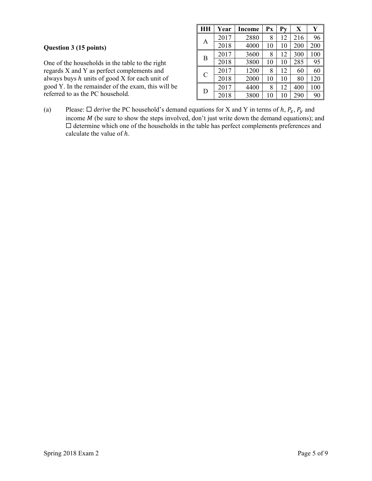One of the households in the table to the right regards X and Y as perfect complements and always buys  $h$  units of good  $X$  for each unit of good Y. In the remainder of the exam, this will be referred to as the PC household.

| HH            | Year | Income | Px | Pv | X   | Y   |
|---------------|------|--------|----|----|-----|-----|
| А             | 2017 | 2880   | 8  | 12 | 216 | 96  |
|               | 2018 | 4000   | 10 | 10 | 200 | 200 |
| B             | 2017 | 3600   | 8  | 12 | 300 | 100 |
|               | 2018 | 3800   | 10 | 10 | 285 | 95  |
| $\mathcal{C}$ | 2017 | 1200   | 8  | 12 | 60  | 60  |
|               | 2018 | 2000   | 10 | 10 | 80  | 120 |
| D             | 2017 | 4400   | 8  | 12 | 400 | 100 |
|               | 2018 | 3800   | 10 | 10 | 290 | 90  |

(a) Please:  $\Box$  *derive* the PC household's demand equations for X and Y in terms of h,  $P_x$ ,  $P_y$  and income  $M$  (be sure to show the steps involved, don't just write down the demand equations); and  $\Box$  determine which one of the households in the table has perfect complements preferences and calculate the value of  $h$ .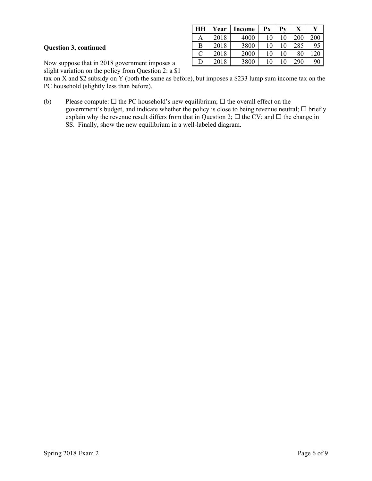## **Question 3, continued**

| HН | Year | <b>Income</b> | $\mathbf{P} \mathbf{x}$ |    | v<br>л |                |
|----|------|---------------|-------------------------|----|--------|----------------|
| Α  | 2018 | 4000          | 10                      | 10 | 200    | 200            |
| В  | 2018 | 3800          | 10                      | 10 | 285    | 9 <sub>2</sub> |
| C  | 2018 | 2000          | 10                      | 10 | 80     |                |
| D  | 2018 | 3800          | 10                      | 10 | 290    | 90             |

Now suppose that in 2018 government imposes a

slight variation on the policy from Question 2: a \$1

tax on X and \$2 subsidy on Y (both the same as before), but imposes a \$233 lump sum income tax on the PC household (slightly less than before).

(b) Please compute:  $\Box$  the PC household's new equilibrium;  $\Box$  the overall effect on the government's budget, and indicate whether the policy is close to being revenue neutral;  $\Box$  briefly explain why the revenue result differs from that in Question 2;  $\Box$  the CV; and  $\Box$  the change in SS. Finally, show the new equilibrium in a well-labeled diagram.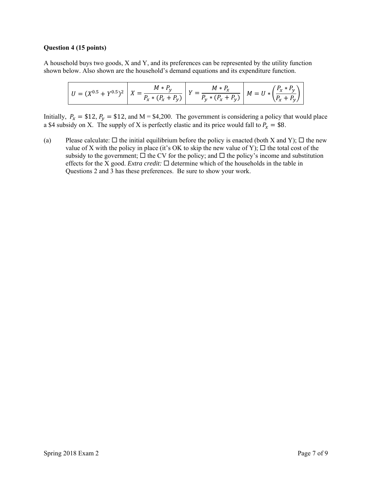#### **Question 4 (15 points)**

A household buys two goods, X and Y, and its preferences can be represented by the utility function shown below. Also shown are the household's demand equations and its expenditure function.

$$
U = (X^{0.5} + Y^{0.5})^2 \left[ X = \frac{M * P_y}{P_x * (P_x + P_y)} \right] Y = \frac{M * P_x}{P_y * (P_x + P_y)} \left[ M = U * \left( \frac{P_x * P_y}{P_x + P_y} \right) \right]
$$

Initially,  $P_x = $12$ ,  $P_y = $12$ , and M = \$4,200. The government is considering a policy that would place a \$4 subsidy on X. The supply of X is perfectly elastic and its price would fall to  $P_x = $8$ .

(a) Please calculate:  $\Box$  the initial equilibrium before the policy is enacted (both X and Y);  $\Box$  the new value of X with the policy in place (it's OK to skip the new value of Y);  $\Box$  the total cost of the subsidy to the government;  $\Box$  the CV for the policy; and  $\Box$  the policy's income and substitution effects for the X good. *Extra credit:*  $\Box$  determine which of the households in the table in Questions 2 and 3 has these preferences. Be sure to show your work.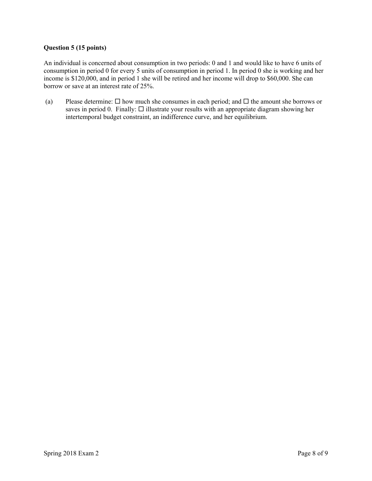## **Question 5 (15 points)**

An individual is concerned about consumption in two periods: 0 and 1 and would like to have 6 units of consumption in period 0 for every 5 units of consumption in period 1. In period 0 she is working and her income is \$120,000, and in period 1 she will be retired and her income will drop to \$60,000. She can borrow or save at an interest rate of 25%.

(a) Please determine:  $\Box$  how much she consumes in each period; and  $\Box$  the amount she borrows or saves in period 0. Finally:  $\Box$  illustrate your results with an appropriate diagram showing her intertemporal budget constraint, an indifference curve, and her equilibrium.